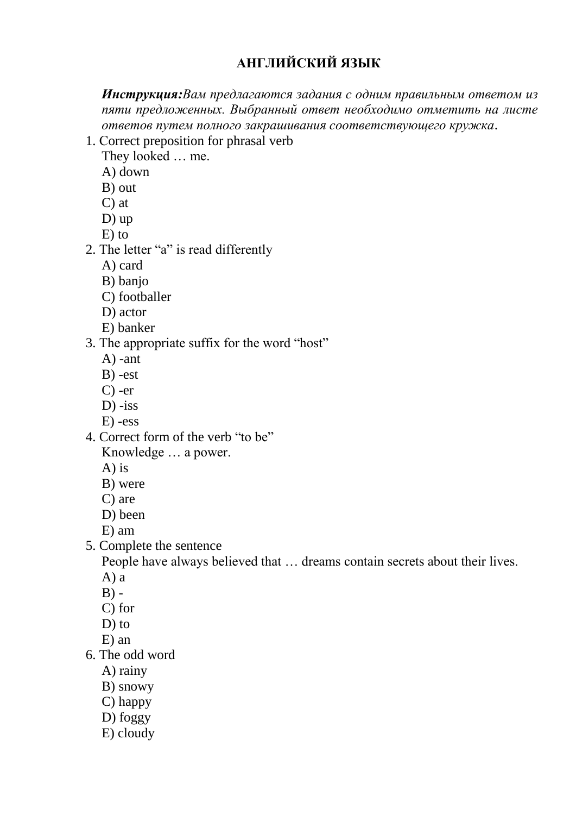## **АНГЛИЙСКИЙ ЯЗЫК**

*Инструкция:Вам предлагаются задания с одним правильным ответом из пяти предложенных. Выбранный ответ необходимо отметить на листе ответов путем полного закрашивания соответствующего кружка*.

1. Сorrect preposition for phrasal verb

They looked … me.

- A) down
- B) out
- C) at
- D) up
- E) to
- 2. The letter "a" is read differently
	- A) card
	- B) banjo
	- C) footballer
	- D) actor
	- E) banker
- 3. The appropriate suffix for the word "host"
	- A) -ant
	- B) -est
	- C) -er
	- $D$ ) -iss
	- E) -ess
- 4. Correct form of the verb "to be" Knowledge … a power.
	- A) is
	- B) were
	- C) are
	- D) been
	- E) am
- 5. Complete the sentence

People have always believed that … dreams contain secrets about their lives.

- A) a
- $B) -$
- C) for
- D) to
- E) an
- 6. The odd word
	- A) rainy
	- B) snowy
	- C) happy
	- D) foggy
	- E) cloudy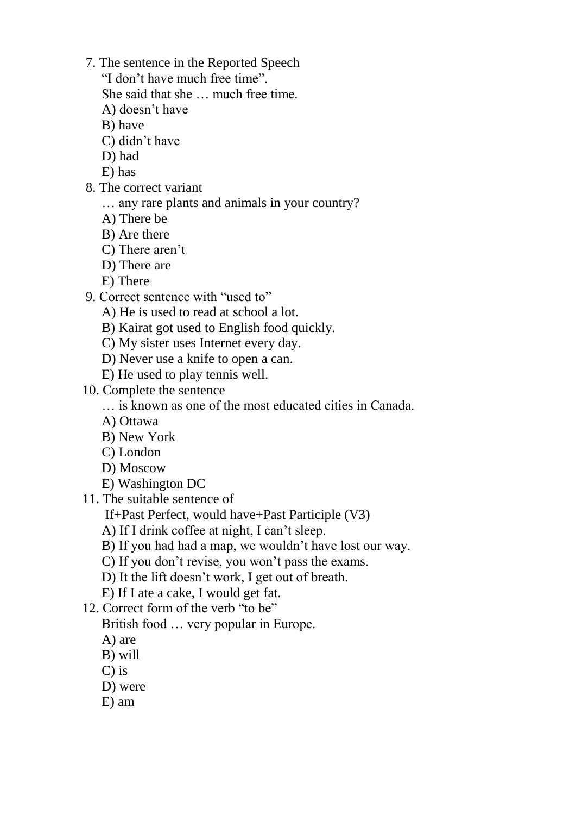- 7. The sentence in the Reported Speech
	- "I don"t have much free time".
	- She said that she … much free time.
	- A) doesn"t have
	- B) have
	- C) didn"t have
	- D) had
	- E) has
- 8. The correct variant
	- … any rare plants and animals in your country?
	- A) There be
	- B) Are there
	- C) There aren't
	- D) There are
	- E) There
- 9. Correct sentence with "used to"
	- A) He is used to read at school a lot.
	- B) Kairat got used to English food quickly.
	- C) My sister uses Internet every day.
	- D) Never use a knife to open a can.
	- E) He used to play tennis well.
- 10. Complete the sentence
	- … is known as one of the most educated cities in Canada.
	- A) Ottawa
	- B) New York
	- C) London
	- D) Moscow
	- E) Washington DC
- 11. The suitable sentence of
	- If+Past Perfect, would have+Past Participle (V3)
	- A) If I drink coffee at night, I can't sleep.
	- B) If you had had a map, we wouldn"t have lost our way.
	- C) If you don"t revise, you won"t pass the exams.
	- D) It the lift doesn"t work, I get out of breath.
	- E) If I ate a cake, I would get fat.
- 12. Correct form of the verb "to be"
	- British food … very popular in Europe.
	- A) are
	- B) will
	- C) is
	- D) were
	- E) am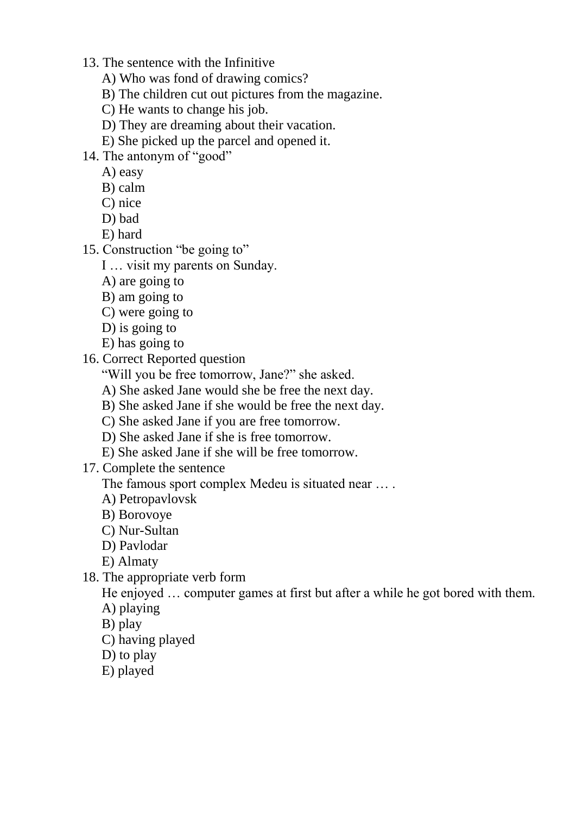- 13. The sentence with the Infinitive
	- A) Who was fond of drawing comics?
	- B) The children cut out pictures from the magazine.
	- C) He wants to change his job.
	- D) They are dreaming about their vacation.
	- E) She picked up the parcel and opened it.
- 14. The antonym of "good"
	- A) easy
	- B) calm
	- C) nice
	- D) bad
	- E) hard
- 15. Construction "be going to"
	- I … visit my parents on Sunday.
	- A) are going to
	- B) am going to
	- C) were going to
	- D) is going to
	- E) has going to
- 16. Correct Reported question

"Will you be free tomorrow, Jane?" she asked.

- A) She asked Jane would she be free the next day.
- B) She asked Jane if she would be free the next day.
- C) She asked Jane if you are free tomorrow.
- D) She asked Jane if she is free tomorrow.
- E) She asked Jane if she will be free tomorrow.
- 17. Complete the sentence

The famous sport complex Medeu is situated near … .

- A) Petropavlovsk
- B) Borovoye
- C) Nur-Sultan
- D) Pavlodar
- E) Almaty
- 18. The appropriate verb form

He enjoyed … computer games at first but after a while he got bored with them. A) playing

- B) play
- C) having played
- D) to play
- E) played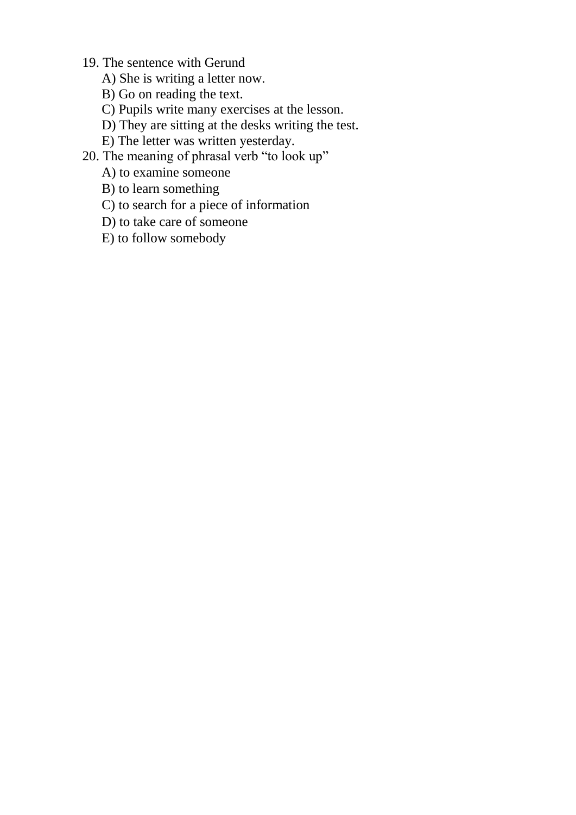- 19. The sentence with Gerund
	- A) She is writing a letter now.
	- B) Go on reading the text.
	- C) Pupils write many exercises at the lesson.
	- D) They are sitting at the desks writing the test.
	- E) The letter was written yesterday.
- 20. The meaning of phrasal verb "to look up"
	- A) to examine someone
	- B) to learn something
	- C) to search for a piece of information
	- D) to take care of someone
	- E) to follow somebody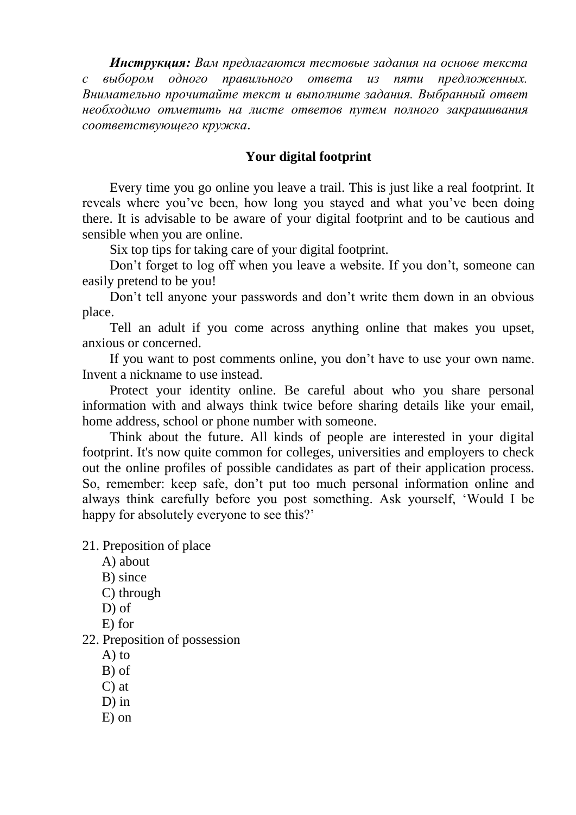*Инструкция: Вам предлагаются тестовые задания на основе текста с выбором одного правильного ответа из пяти предложенных. Внимательно прочитайте текст и выполните задания. Выбранный ответ необходимо отметить на листе ответов путем полного закрашивания соответствующего кружка*.

## **Your digital footprint**

Every time you go online you leave a trail. This is just like a real footprint. It reveals where you"ve been, how long you stayed and what you"ve been doing there. It is advisable to be aware of your digital footprint and to be cautious and sensible when you are online.

Six top tips for taking care of your digital footprint.

Don't forget to log off when you leave a website. If you don't, someone can easily pretend to be you!

Don"t tell anyone your passwords and don"t write them down in an obvious place.

Tell an adult if you come across anything online that makes you upset, anxious or concerned.

If you want to post comments online, you don"t have to use your own name. Invent a nickname to use instead.

Protect your identity online. Be careful about who you share personal information with and always think twice before sharing details like your email, home address, school or phone number with someone.

Think about the future. All kinds of people are interested in your digital footprint. It's now quite common for colleges, universities and employers to check out the online profiles of possible candidates as part of their application process. So, remember: keep safe, don"t put too much personal information online and always think carefully before you post something. Ask yourself, "Would I be happy for absolutely everyone to see this?'

21. Preposition of place

- A) about
- B) since
- C) through
- D) of
- E) for
- 22. Preposition of possession
	- A) to
	- B) of
	- C) at
	- D) in
	- E) on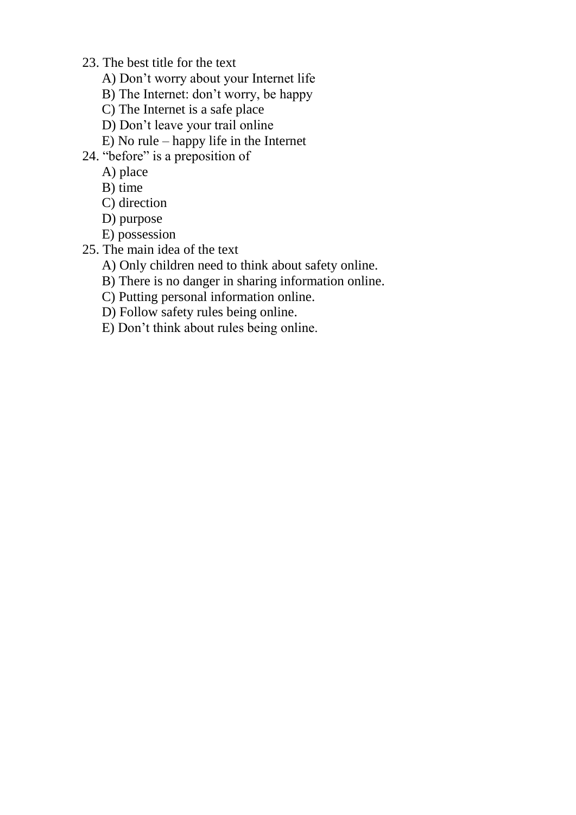- 23. The best title for the text
	- A) Don"t worry about your Internet life
	- B) The Internet: don"t worry, be happy
	- C) The Internet is a safe place
	- D) Don"t leave your trail online
	- E) No rule happy life in the Internet
- 24. "before" is a preposition of
	- A) place
	- B) time
	- C) direction
	- D) purpose
	- E) possession
- 25. The main idea of the text
	- A) Only children need to think about safety online.
	- B) There is no danger in sharing information online.
	- C) Putting personal information online.
	- D) Follow safety rules being online.
	- E) Don"t think about rules being online.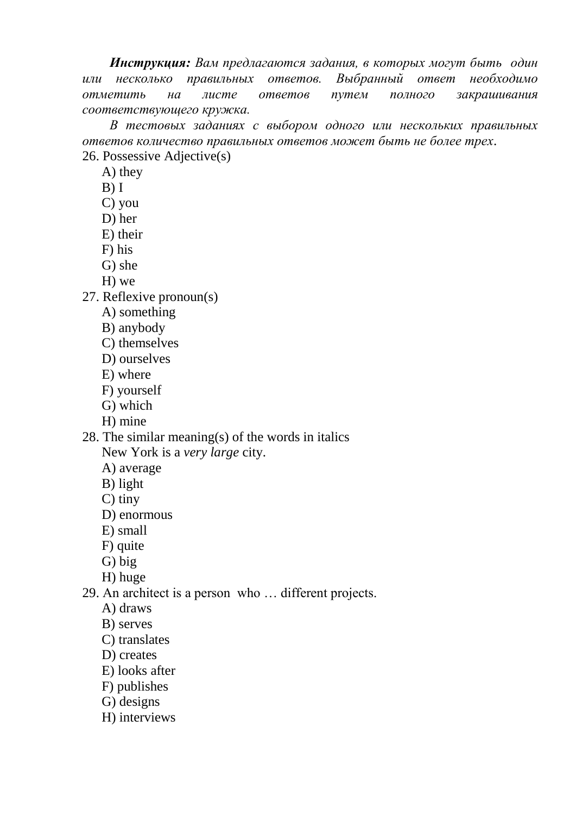*Инструкция: Вам предлагаются задания, в которых могут быть один или несколько правильных ответов. Выбранный ответ необходимо отметить на листе ответов путем полного закрашивания соответствующего кружка.*

*В тестовых заданиях с выбором одного или нескольких правильных ответов количество правильных ответов может быть не более трех*. 26. Possessive Adjective(s)

A) they

 $B)$  I

C) you

D) her

E) their

F) his

G) she

H) we

27. Reflexive pronoun(s)

A) something

B) anybody

C) themselves

D) ourselves

E) where

F) yourself

G) which

H) mine

28. The similar meaning(s) of the words in italics New York is a *very large* city.

A) average

B) light

C) tiny

D) enormous

E) small

F) quite

G) big

H) huge

29. An architect is a person who … different projects.

A) draws

B) serves

C) translates

D) creates

E) looks after

F) publishes

G) designs

H) interviews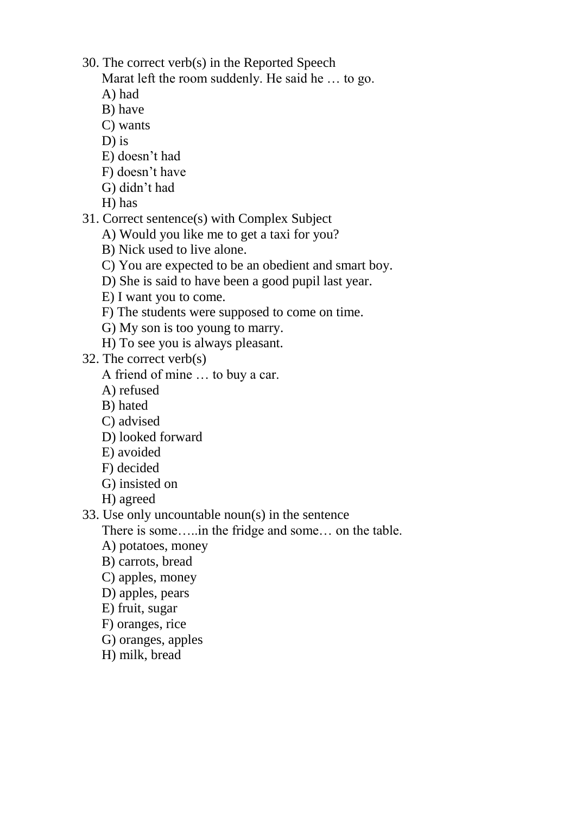- 30. The correct verb(s) in the Reported Speech
	- Marat left the room suddenly. He said he … to go.
	- A) had
	- B) have
	- C) wants
	- D) is
	- E) doesn"t had
	- F) doesn"t have
	- G) didn"t had
	- H) has
- 31. Correct sentence(s) with Complex Subject
	- A) Would you like me to get a taxi for you?
	- B) Nick used to live alone.
	- C) You are expected to be an obedient and smart boy.
	- D) She is said to have been a good pupil last year.
	- E) I want you to come.
	- F) The students were supposed to come on time.
	- G) My son is too young to marry.
	- H) To see you is always pleasant.
- 32. The correct verb(s)
	- A friend of mine … to buy a car.
	- A) refused
	- B) hated
	- C) advised
	- D) looked forward
	- E) avoided
	- F) decided
	- G) insisted on
	- H) agreed
- 33. Use only uncountable noun(s) in the sentence
	- There is some…..in the fridge and some… on the table.
	- A) potatoes, money
	- B) carrots, bread
	- C) apples, money
	- D) apples, pears
	- E) fruit, sugar
	- F) oranges, rice
	- G) oranges, apples
	- H) milk, bread